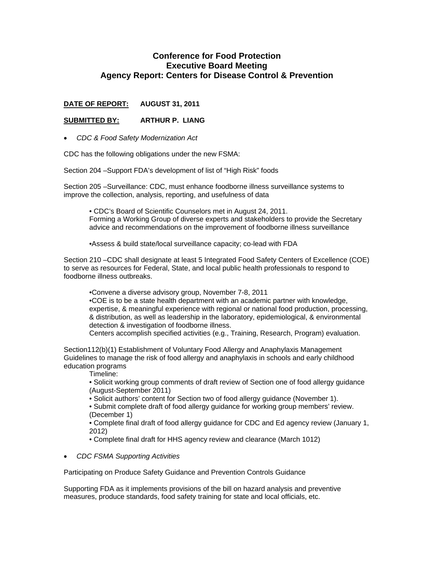## **Conference for Food Protection Executive Board Meeting Agency Report: Centers for Disease Control & Prevention**

## **DATE OF REPORT: AUGUST 31, 2011**

## **SUBMITTED BY: ARTHUR P. LIANG**

• *CDC & Food Safety Modernization Act* 

CDC has the following obligations under the new FSMA:

Section 204 –Support FDA's development of list of "High Risk" foods

Section 205 –Surveillance: CDC, must enhance foodborne illness surveillance systems to improve the collection, analysis, reporting, and usefulness of data

• CDC's Board of Scientific Counselors met in August 24, 2011. Forming a Working Group of diverse experts and stakeholders to provide the Secretary advice and recommendations on the improvement of foodborne illness surveillance

•Assess & build state/local surveillance capacity; co-lead with FDA

Section 210 –CDC shall designate at least 5 Integrated Food Safety Centers of Excellence (COE) to serve as resources for Federal, State, and local public health professionals to respond to foodborne illness outbreaks.

•Convene a diverse advisory group, November 7-8, 2011 •COE is to be a state health department with an academic partner with knowledge, expertise, & meaningful experience with regional or national food production, processing, & distribution, as well as leadership in the laboratory, epidemiological, & environmental

detection & investigation of foodborne illness.

Centers accomplish specified activities (e.g., Training, Research, Program) evaluation.

Section112(b)(1) Establishment of Voluntary Food Allergy and Anaphylaxis Management Guidelines to manage the risk of food allergy and anaphylaxis in schools and early childhood education programs

Timeline:

• Solicit working group comments of draft review of Section one of food allergy guidance (August-September 2011)

• Solicit authors' content for Section two of food allergy guidance (November 1).

• Submit complete draft of food allergy guidance for working group members' review. (December 1)

• Complete final draft of food allergy guidance for CDC and Ed agency review (January 1, 2012)

• Complete final draft for HHS agency review and clearance (March 1012)

• *CDC FSMA Supporting Activities* 

Participating on Produce Safety Guidance and Prevention Controls Guidance

Supporting FDA as it implements provisions of the bill on hazard analysis and preventive measures, produce standards, food safety training for state and local officials, etc.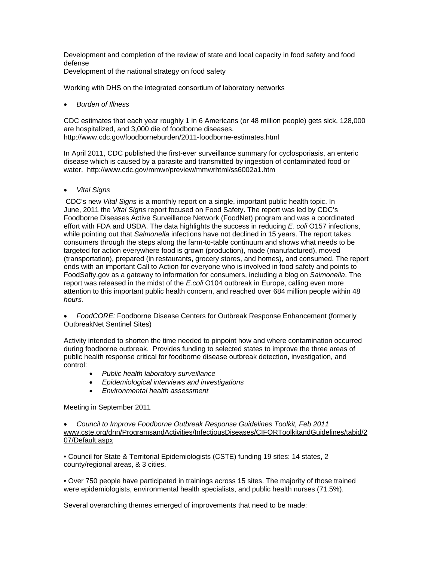Development and completion of the review of state and local capacity in food safety and food defense

Development of the national strategy on food safety

Working with DHS on the integrated consortium of laboratory networks

• *Burden of Illness* 

CDC estimates that each year roughly 1 in 6 Americans (or 48 million people) gets sick, 128,000 are hospitalized, and 3,000 die of foodborne diseases. http://www.cdc.gov/foodborneburden/2011-foodborne-estimates.html

In April 2011, CDC published the first-ever surveillance summary for cyclosporiasis, an enteric disease which is caused by a parasite and transmitted by ingestion of contaminated food or water. http://www.cdc.gov/mmwr/preview/mmwrhtml/ss6002a1.htm

• *Vital Signs*

 CDC's new *Vital Signs* is a monthly report on a single, important public health topic. In June, 2011 the *Vital Signs* report focused on Food Safety. The report was led by CDC's Foodborne Diseases Active Surveillance Network (FoodNet) program and was a coordinated effort with FDA and USDA. The data highlights the success in reducing *E. coli* O157 infections, while pointing out that *Salmonella* infections have not declined in 15 years. The report takes consumers through the steps along the farm-to-table continuum and shows what needs to be targeted for action everywhere food is grown (production), made (manufactured), moved (transportation), prepared (in restaurants, grocery stores, and homes), and consumed. The report ends with an important Call to Action for everyone who is involved in food safety and points to FoodSafty.gov as a gateway to information for consumers, including a blog on *Salmonella*. The report was released in the midst of the *E.coli* O104 outbreak in Europe, calling even more attention to this important public health concern, and reached over 684 million people within 48 *hours.*

• *FoodCORE:* Foodborne Disease Centers for Outbreak Response Enhancement (formerly OutbreakNet Sentinel Sites)

Activity intended to shorten the time needed to pinpoint how and where contamination occurred during foodborne outbreak. Provides funding to selected states to improve the three areas of public health response critical for foodborne disease outbreak detection, investigation, and control:

- *Public health laboratory surveillance*
- *Epidemiological interviews and investigations*
- *Environmental health assessment*

Meeting in September 2011

• *Council to Improve Foodborne Outbreak Response Guidelines Toolkit, Feb 2011*  [www.cste.org/dnn/ProgramsandActivities/InfectiousDiseases/CIFORToolkitandGuidelines/tabid/2](http://www.cste.org/dnn/ProgramsandActivities/InfectiousDiseases/CIFORToolkitandGuidelines/tabid/207/Default.aspx) [07/Default.aspx](http://www.cste.org/dnn/ProgramsandActivities/InfectiousDiseases/CIFORToolkitandGuidelines/tabid/207/Default.aspx)

• Council for State & Territorial Epidemiologists (CSTE) funding 19 sites: 14 states, 2 county/regional areas, & 3 cities.

• Over 750 people have participated in trainings across 15 sites. The majority of those trained were epidemiologists, environmental health specialists, and public health nurses (71.5%).

Several overarching themes emerged of improvements that need to be made: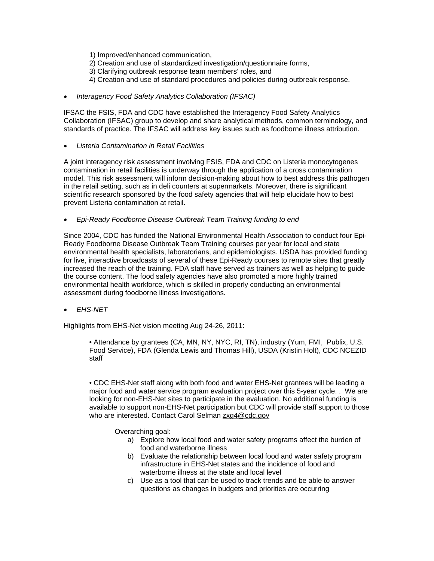- 1) Improved/enhanced communication,
- 2) Creation and use of standardized investigation/questionnaire forms,
- 3) Clarifying outbreak response team members' roles, and
- 4) Creation and use of standard procedures and policies during outbreak response.
- *Interagency Food Safety Analytics Collaboration (IFSAC)*

IFSAC the FSIS, FDA and CDC have established the Interagency Food Safety Analytics Collaboration (IFSAC) group to develop and share analytical methods, common terminology, and standards of practice. The IFSAC will address key issues such as foodborne illness attribution.

• *Listeria Contamination in Retail Facilities* 

A joint interagency risk assessment involving FSIS, FDA and CDC on Listeria monocytogenes contamination in retail facilities is underway through the application of a cross contamination model. This risk assessment will inform decision-making about how to best address this pathogen in the retail setting, such as in deli counters at supermarkets. Moreover, there is significant scientific research sponsored by the food safety agencies that will help elucidate how to best prevent Listeria contamination at retail.

• *Epi-Ready Foodborne Disease Outbreak Team Training funding to end* 

Since 2004, CDC has funded the National Environmental Health Association to conduct four Epi-Ready Foodborne Disease Outbreak Team Training courses per year for local and state environmental health specialists, laboratorians, and epidemiologists. USDA has provided funding for live, interactive broadcasts of several of these Epi-Ready courses to remote sites that greatly increased the reach of the training. FDA staff have served as trainers as well as helping to guide the course content. The food safety agencies have also promoted a more highly trained environmental health workforce, which is skilled in properly conducting an environmental assessment during foodborne illness investigations.

• *EHS-NET* 

Highlights from EHS-Net vision meeting Aug 24-26, 2011:

• Attendance by grantees (CA, MN, NY, NYC, RI, TN), industry (Yum, FMI, Publix, U.S. Food Service), FDA (Glenda Lewis and Thomas Hill), USDA (Kristin Holt), CDC NCEZID staff

• CDC EHS-Net staff along with both food and water EHS-Net grantees will be leading a major food and water service program evaluation project over this 5-year cycle. . We are looking for non-EHS-Net sites to participate in the evaluation. No additional funding is available to support non-EHS-Net participation but CDC will provide staff support to those who are interested. Contact Carol Selman [zxg4@cdc.gov](mailto:zxg4@cdc.gov)

Overarching goal:

- a) Explore how local food and water safety programs affect the burden of food and waterborne illness
- b) Evaluate the relationship between local food and water safety program infrastructure in EHS-Net states and the incidence of food and waterborne illness at the state and local level
- c) Use as a tool that can be used to track trends and be able to answer questions as changes in budgets and priorities are occurring